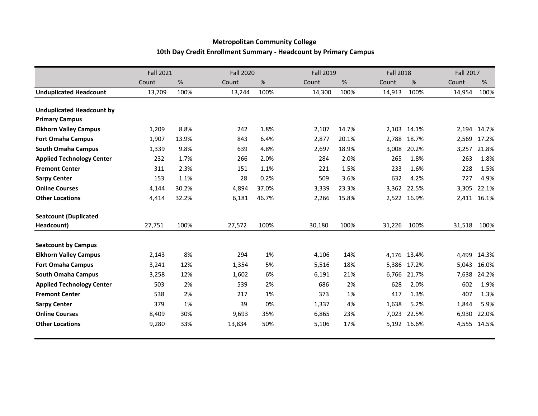## **Metropolitan Community College 10th Day Credit Enrollment Summary - Headcount by Primary Campus**

|                                  | <b>Fall 2021</b> |       |        | <b>Fall 2020</b> |        | <b>Fall 2019</b> |        | <b>Fall 2018</b> |        | <b>Fall 2017</b> |  |
|----------------------------------|------------------|-------|--------|------------------|--------|------------------|--------|------------------|--------|------------------|--|
|                                  | Count            | %     | Count  | %                | Count  | %                | Count  | %                | Count  | %                |  |
| <b>Unduplicated Headcount</b>    | 13,709           | 100%  | 13,244 | 100%             | 14,300 | 100%             | 14,913 | 100%             | 14,954 | 100%             |  |
|                                  |                  |       |        |                  |        |                  |        |                  |        |                  |  |
| <b>Unduplicated Headcount by</b> |                  |       |        |                  |        |                  |        |                  |        |                  |  |
| <b>Primary Campus</b>            |                  |       |        |                  |        |                  |        |                  |        |                  |  |
| <b>Elkhorn Valley Campus</b>     | 1,209            | 8.8%  | 242    | 1.8%             | 2,107  | 14.7%            | 2,103  | 14.1%            |        | 2,194 14.7%      |  |
| <b>Fort Omaha Campus</b>         | 1,907            | 13.9% | 843    | 6.4%             | 2,877  | 20.1%            | 2,788  | 18.7%            | 2,569  | 17.2%            |  |
| <b>South Omaha Campus</b>        | 1,339            | 9.8%  | 639    | 4.8%             | 2,697  | 18.9%            | 3,008  | 20.2%            | 3,257  | 21.8%            |  |
| <b>Applied Technology Center</b> | 232              | 1.7%  | 266    | 2.0%             | 284    | 2.0%             | 265    | 1.8%             | 263    | 1.8%             |  |
| <b>Fremont Center</b>            | 311              | 2.3%  | 151    | 1.1%             | 221    | 1.5%             | 233    | 1.6%             | 228    | 1.5%             |  |
| <b>Sarpy Center</b>              | 153              | 1.1%  | 28     | 0.2%             | 509    | 3.6%             | 632    | 4.2%             | 727    | 4.9%             |  |
| <b>Online Courses</b>            | 4,144            | 30.2% | 4,894  | 37.0%            | 3,339  | 23.3%            | 3,362  | 22.5%            | 3,305  | 22.1%            |  |
| <b>Other Locations</b>           | 4,414            | 32.2% | 6,181  | 46.7%            | 2,266  | 15.8%            | 2,522  | 16.9%            |        | 2,411 16.1%      |  |
| <b>Seatcount (Duplicated</b>     |                  |       |        |                  |        |                  |        |                  |        |                  |  |
| Headcount)                       | 27,751           | 100%  | 27,572 | 100%             | 30,180 | 100%             | 31,226 | 100%             | 31,518 | 100%             |  |
| <b>Seatcount by Campus</b>       |                  |       |        |                  |        |                  |        |                  |        |                  |  |
| <b>Elkhorn Valley Campus</b>     | 2,143            | 8%    | 294    | 1%               | 4,106  | 14%              | 4,176  | 13.4%            | 4,499  | 14.3%            |  |
| <b>Fort Omaha Campus</b>         | 3,241            | 12%   | 1,354  | 5%               | 5,516  | 18%              | 5,386  | 17.2%            | 5,043  | 16.0%            |  |
| <b>South Omaha Campus</b>        | 3,258            | 12%   | 1,602  | 6%               | 6,191  | 21%              | 6,766  | 21.7%            | 7,638  | 24.2%            |  |
| <b>Applied Technology Center</b> | 503              | 2%    | 539    | 2%               | 686    | 2%               | 628    | 2.0%             | 602    | 1.9%             |  |
| <b>Fremont Center</b>            | 538              | 2%    | 217    | 1%               | 373    | 1%               | 417    | 1.3%             | 407    | 1.3%             |  |
| <b>Sarpy Center</b>              | 379              | 1%    | 39     | 0%               | 1,337  | 4%               | 1,638  | 5.2%             | 1,844  | 5.9%             |  |
| <b>Online Courses</b>            | 8,409            | 30%   | 9,693  | 35%              | 6,865  | 23%              | 7,023  | 22.5%            | 6,930  | 22.0%            |  |
| <b>Other Locations</b>           | 9,280            | 33%   | 13,834 | 50%              | 5,106  | 17%              | 5,192  | 16.6%            | 4,555  | 14.5%            |  |
|                                  |                  |       |        |                  |        |                  |        |                  |        |                  |  |